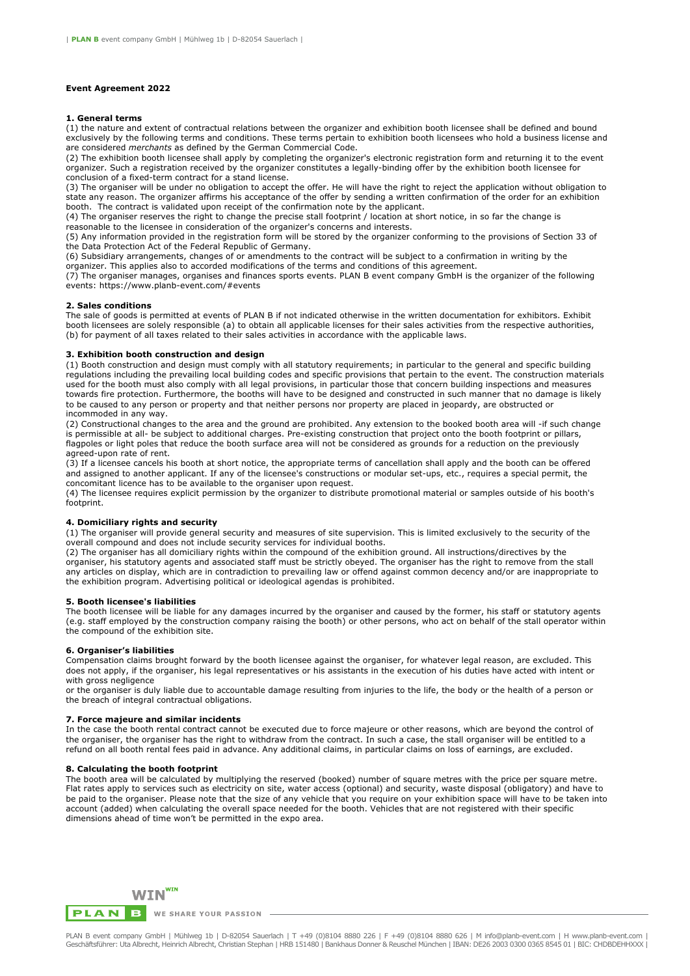# **Event Agreement 2022**

### **1. General terms**

(1) the nature and extent of contractual relations between the organizer and exhibition booth licensee shall be defined and bound exclusively by the following terms and conditions. These terms pertain to exhibition booth licensees who hold a business license and are considered *merchants* as defined by the German Commercial Code.

(2) The exhibition booth licensee shall apply by completing the organizer's electronic registration form and returning it to the event organizer. Such a registration received by the organizer constitutes a legally-binding offer by the exhibition booth licensee for conclusion of a fixed-term contract for a stand license.

(3) The organiser will be under no obligation to accept the offer. He will have the right to reject the application without obligation to state any reason. The organizer affirms his acceptance of the offer by sending a written confirmation of the order for an exhibition booth. The contract is validated upon receipt of the confirmation note by the applicant.

(4) The organiser reserves the right to change the precise stall footprint / location at short notice, in so far the change is reasonable to the licensee in consideration of the organizer's concerns and interests.

(5) Any information provided in the registration form will be stored by the organizer conforming to the provisions of Section 33 of the Data Protection Act of the Federal Republic of Germany.

(6) Subsidiary arrangements, changes of or amendments to the contract will be subject to a confirmation in writing by the organizer. This applies also to accorded modifications of the terms and conditions of this agreement.

(7) The organiser manages, organises and finances sports events. PLAN B event company GmbH is the organizer of the following events: https://www.planb-event.com/#events

#### **2. Sales conditions**

The sale of goods is permitted at events of PLAN B if not indicated otherwise in the written documentation for exhibitors. Exhibit booth licensees are solely responsible (a) to obtain all applicable licenses for their sales activities from the respective authorities, (b) for payment of all taxes related to their sales activities in accordance with the applicable laws.

#### **3. Exhibition booth construction and design**

(1) Booth construction and design must comply with all statutory requirements; in particular to the general and specific building regulations including the prevailing local building codes and specific provisions that pertain to the event. The construction materials used for the booth must also comply with all legal provisions, in particular those that concern building inspections and measures towards fire protection. Furthermore, the booths will have to be designed and constructed in such manner that no damage is likely to be caused to any person or property and that neither persons nor property are placed in jeopardy, are obstructed or incommoded in any way.

(2) Constructional changes to the area and the ground are prohibited. Any extension to the booked booth area will -if such change is permissible at all- be subject to additional charges. Pre-existing construction that project onto the booth footprint or pillars, flagpoles or light poles that reduce the booth surface area will not be considered as grounds for a reduction on the previously agreed-upon rate of rent.

(3) If a licensee cancels his booth at short notice, the appropriate terms of cancellation shall apply and the booth can be offered and assigned to another applicant. If any of the licensee's constructions or modular set-ups, etc., requires a special permit, the concomitant licence has to be available to the organiser upon request.

(4) The licensee requires explicit permission by the organizer to distribute promotional material or samples outside of his booth's footprint.

# **4. Domiciliary rights and security**

(1) The organiser will provide general security and measures of site supervision. This is limited exclusively to the security of the overall compound and does not include security services for individual booths.

(2) The organiser has all domiciliary rights within the compound of the exhibition ground. All instructions/directives by the organiser, his statutory agents and associated staff must be strictly obeyed. The organiser has the right to remove from the stall any articles on display, which are in contradiction to prevailing law or offend against common decency and/or are inappropriate to the exhibition program. Advertising political or ideological agendas is prohibited.

### **5. Booth licensee's liabilities**

The booth licensee will be liable for any damages incurred by the organiser and caused by the former, his staff or statutory agents (e.g. staff employed by the construction company raising the booth) or other persons, who act on behalf of the stall operator within the compound of the exhibition site.

# **6. Organiser's liabilities**

Compensation claims brought forward by the booth licensee against the organiser, for whatever legal reason, are excluded. This does not apply, if the organiser, his legal representatives or his assistants in the execution of his duties have acted with intent or with gross negligence

or the organiser is duly liable due to accountable damage resulting from injuries to the life, the body or the health of a person or the breach of integral contractual obligations.

#### **7. Force majeure and similar incidents**

In the case the booth rental contract cannot be executed due to force majeure or other reasons, which are beyond the control of the organiser, the organiser has the right to withdraw from the contract. In such a case, the stall organiser will be entitled to a refund on all booth rental fees paid in advance. Any additional claims, in particular claims on loss of earnings, are excluded.

#### **8. Calculating the booth footprint**

The booth area will be calculated by multiplying the reserved (booked) number of square metres with the price per square metre. Flat rates apply to services such as electricity on site, water access (optional) and security, waste disposal (obligatory) and have to be paid to the organiser. Please note that the size of any vehicle that you require on your exhibition space will have to be taken into account (added) when calculating the overall space needed for the booth. Vehicles that are not registered with their specific dimensions ahead of time won't be permitted in the expo area.